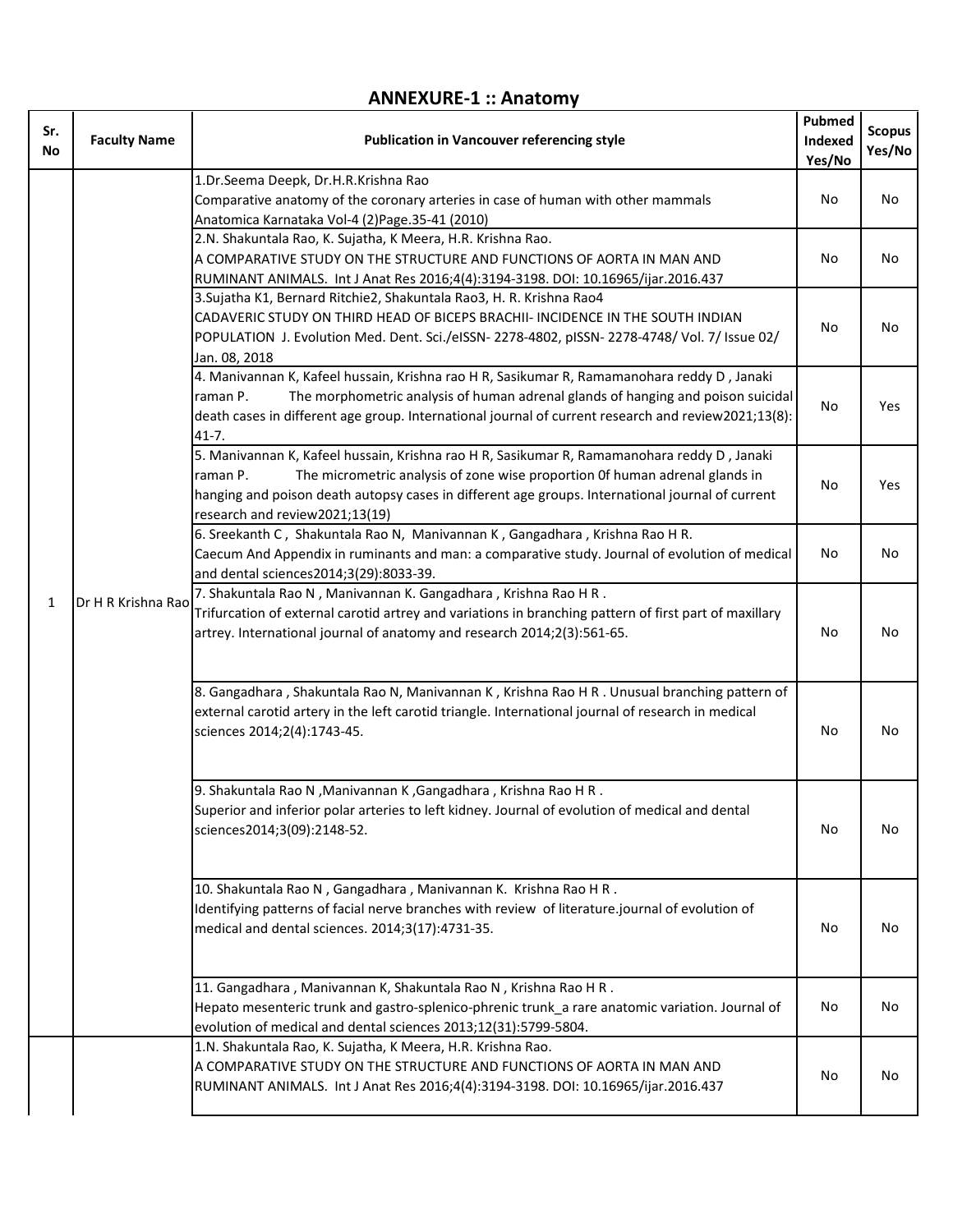## **ANNEXURE-1 :: Anatomy**

| Sr.<br>No    | <b>Faculty Name</b> | <b>Publication in Vancouver referencing style</b>                                                                                                                                                                                                                                                                            | Pubmed<br>Indexed<br>Yes/No | <b>Scopus</b><br>Yes/No |
|--------------|---------------------|------------------------------------------------------------------------------------------------------------------------------------------------------------------------------------------------------------------------------------------------------------------------------------------------------------------------------|-----------------------------|-------------------------|
| $\mathbf{1}$ | Dr H R Krishna Rao  | 1.Dr.Seema Deepk, Dr.H.R.Krishna Rao<br>Comparative anatomy of the coronary arteries in case of human with other mammals<br>Anatomica Karnataka Vol-4 (2) Page. 35-41 (2010)                                                                                                                                                 | No                          | No                      |
|              |                     | 2.N. Shakuntala Rao, K. Sujatha, K Meera, H.R. Krishna Rao.<br>A COMPARATIVE STUDY ON THE STRUCTURE AND FUNCTIONS OF AORTA IN MAN AND<br>RUMINANT ANIMALS. Int J Anat Res 2016;4(4):3194-3198. DOI: 10.16965/ijar.2016.437                                                                                                   | No                          | No                      |
|              |                     | 3. Sujatha K1, Bernard Ritchie2, Shakuntala Rao3, H. R. Krishna Rao4<br>CADAVERIC STUDY ON THIRD HEAD OF BICEPS BRACHII- INCIDENCE IN THE SOUTH INDIAN<br>POPULATION J. Evolution Med. Dent. Sci./eISSN- 2278-4802, pISSN- 2278-4748/ Vol. 7/ Issue 02/<br>Jan. 08, 2018                                                     | No                          | No                      |
|              |                     | 4. Manivannan K, Kafeel hussain, Krishna rao H R, Sasikumar R, Ramamanohara reddy D, Janaki<br>The morphometric analysis of human adrenal glands of hanging and poison suicidal<br>raman P.<br>death cases in different age group. International journal of current research and review2021;13(8):<br>$41 - 7.$              | No                          | Yes                     |
|              |                     | 5. Manivannan K, Kafeel hussain, Krishna rao H R, Sasikumar R, Ramamanohara reddy D, Janaki<br>The micrometric analysis of zone wise proportion Of human adrenal glands in<br>raman P.<br>hanging and poison death autopsy cases in different age groups. International journal of current<br>research and review2021;13(19) | No                          | Yes                     |
|              |                     | 6. Sreekanth C, Shakuntala Rao N, Manivannan K, Gangadhara, Krishna Rao H R.<br>Caecum And Appendix in ruminants and man: a comparative study. Journal of evolution of medical<br>and dental sciences2014;3(29):8033-39.                                                                                                     | No                          | No                      |
|              |                     | 7. Shakuntala Rao N, Manivannan K. Gangadhara, Krishna Rao H R.<br>Trifurcation of external carotid artrey and variations in branching pattern of first part of maxillary<br>artrey. International journal of anatomy and research 2014;2(3):561-65.                                                                         | No                          | No                      |
|              |                     | 8. Gangadhara, Shakuntala Rao N, Manivannan K, Krishna Rao H R . Unusual branching pattern of<br>external carotid artery in the left carotid triangle. International journal of research in medical<br>sciences 2014;2(4):1743-45.                                                                                           | No                          | No                      |
|              |                     | 9. Shakuntala Rao N, Manivannan K, Gangadhara, Krishna Rao H R.<br>Superior and inferior polar arteries to left kidney. Journal of evolution of medical and dental<br>sciences2014;3(09):2148-52.                                                                                                                            | No                          | No                      |
|              |                     | 10. Shakuntala Rao N, Gangadhara, Manivannan K. Krishna Rao H R.<br>Identifying patterns of facial nerve branches with review of literature.journal of evolution of<br>medical and dental sciences. 2014;3(17):4731-35.                                                                                                      | No                          | No                      |
|              |                     | 11. Gangadhara, Manivannan K, Shakuntala Rao N, Krishna Rao H R.<br>Hepato mesenteric trunk and gastro-splenico-phrenic trunk_a rare anatomic variation. Journal of<br>evolution of medical and dental sciences 2013;12(31):5799-5804.                                                                                       | No                          | No                      |
|              |                     | 1.N. Shakuntala Rao, K. Sujatha, K Meera, H.R. Krishna Rao.<br>A COMPARATIVE STUDY ON THE STRUCTURE AND FUNCTIONS OF AORTA IN MAN AND<br>RUMINANT ANIMALS. Int J Anat Res 2016;4(4):3194-3198. DOI: 10.16965/ijar.2016.437                                                                                                   | No                          | No                      |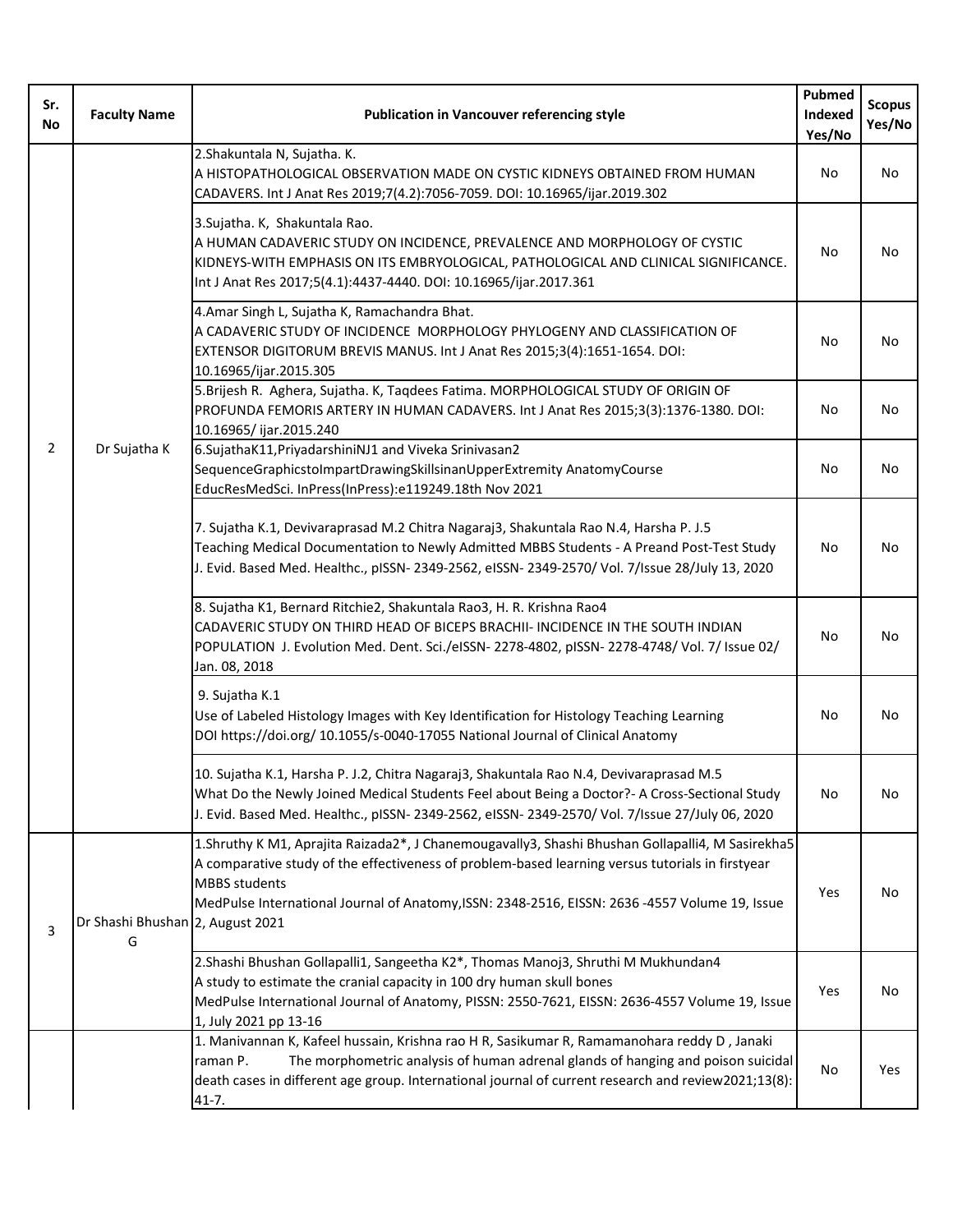| Sr.<br>No      | <b>Faculty Name</b>                   | <b>Publication in Vancouver referencing style</b>                                                                                                                                                                                                                                                                             | Pubmed<br>Indexed<br>Yes/No | <b>Scopus</b><br>Yes/No |
|----------------|---------------------------------------|-------------------------------------------------------------------------------------------------------------------------------------------------------------------------------------------------------------------------------------------------------------------------------------------------------------------------------|-----------------------------|-------------------------|
| $\overline{2}$ | Dr Sujatha K                          | 2. Shakuntala N, Sujatha. K.<br>A HISTOPATHOLOGICAL OBSERVATION MADE ON CYSTIC KIDNEYS OBTAINED FROM HUMAN<br>CADAVERS. Int J Anat Res 2019;7(4.2):7056-7059. DOI: 10.16965/ijar.2019.302                                                                                                                                     | No                          | No                      |
|                |                                       | 3. Sujatha. K, Shakuntala Rao.<br>A HUMAN CADAVERIC STUDY ON INCIDENCE, PREVALENCE AND MORPHOLOGY OF CYSTIC<br>KIDNEYS-WITH EMPHASIS ON ITS EMBRYOLOGICAL, PATHOLOGICAL AND CLINICAL SIGNIFICANCE.<br>Int J Anat Res 2017;5(4.1):4437-4440. DOI: 10.16965/ijar.2017.361                                                       | No                          | No                      |
|                |                                       | 4.Amar Singh L, Sujatha K, Ramachandra Bhat.<br>A CADAVERIC STUDY OF INCIDENCE MORPHOLOGY PHYLOGENY AND CLASSIFICATION OF<br>EXTENSOR DIGITORUM BREVIS MANUS. Int J Anat Res 2015;3(4):1651-1654. DOI:<br>10.16965/ijar.2015.305                                                                                              | No                          | No                      |
|                |                                       | 5. Brijesh R. Aghera, Sujatha. K, Tagdees Fatima. MORPHOLOGICAL STUDY OF ORIGIN OF<br>PROFUNDA FEMORIS ARTERY IN HUMAN CADAVERS. Int J Anat Res 2015;3(3):1376-1380. DOI:<br>10.16965/ijar.2015.240                                                                                                                           | No                          | No                      |
|                |                                       | 6.SujathaK11, PriyadarshiniNJ1 and Viveka Srinivasan2<br>SequenceGraphicstoImpartDrawingSkillsinanUpperExtremity AnatomyCourse<br>EducResMedSci. InPress(InPress):e119249.18th Nov 2021                                                                                                                                       | No                          | No                      |
|                |                                       | 7. Sujatha K.1, Devivaraprasad M.2 Chitra Nagaraj3, Shakuntala Rao N.4, Harsha P. J.5<br>Teaching Medical Documentation to Newly Admitted MBBS Students - A Preand Post-Test Study<br>J. Evid. Based Med. Healthc., pISSN- 2349-2562, eISSN- 2349-2570/ Vol. 7/Issue 28/July 13, 2020                                         | No                          | No                      |
|                |                                       | 8. Sujatha K1, Bernard Ritchie2, Shakuntala Rao3, H. R. Krishna Rao4<br>CADAVERIC STUDY ON THIRD HEAD OF BICEPS BRACHII- INCIDENCE IN THE SOUTH INDIAN<br>POPULATION J. Evolution Med. Dent. Sci./eISSN- 2278-4802, pISSN- 2278-4748/ Vol. 7/ Issue 02/<br>Jan. 08, 2018                                                      | No                          | No                      |
|                |                                       | 9. Sujatha K.1<br>Use of Labeled Histology Images with Key Identification for Histology Teaching Learning<br>DOI https://doi.org/ 10.1055/s-0040-17055 National Journal of Clinical Anatomy                                                                                                                                   | No                          | No                      |
|                |                                       | 10. Sujatha K.1, Harsha P. J.2, Chitra Nagaraj3, Shakuntala Rao N.4, Devivaraprasad M.5<br>What Do the Newly Joined Medical Students Feel about Being a Doctor?- A Cross-Sectional Study<br>J. Evid. Based Med. Healthc., pISSN- 2349-2562, eISSN- 2349-2570/ Vol. 7/Issue 27/July 06, 2020                                   | No                          | No                      |
| 3              | Dr Shashi Bhushan 2, August 2021<br>G | 1.Shruthy K M1, Aprajita Raizada2*, J Chanemougavally3, Shashi Bhushan Gollapalli4, M Sasirekha5<br>A comparative study of the effectiveness of problem-based learning versus tutorials in firstyear<br><b>MBBS</b> students<br>MedPulse International Journal of Anatomy, ISSN: 2348-2516, EISSN: 2636-4557 Volume 19, Issue | Yes                         | No                      |
|                |                                       | 2. Shashi Bhushan Gollapalli1, Sangeetha K2*, Thomas Manoj3, Shruthi M Mukhundan4<br>A study to estimate the cranial capacity in 100 dry human skull bones<br>MedPulse International Journal of Anatomy, PISSN: 2550-7621, EISSN: 2636-4557 Volume 19, Issue<br>1, July 2021 pp 13-16                                         | Yes                         | No                      |
|                |                                       | 1. Manivannan K, Kafeel hussain, Krishna rao H R, Sasikumar R, Ramamanohara reddy D, Janaki<br>The morphometric analysis of human adrenal glands of hanging and poison suicidal<br>raman P.<br>death cases in different age group. International journal of current research and review2021;13(8):<br>41-7.                   | No                          | Yes                     |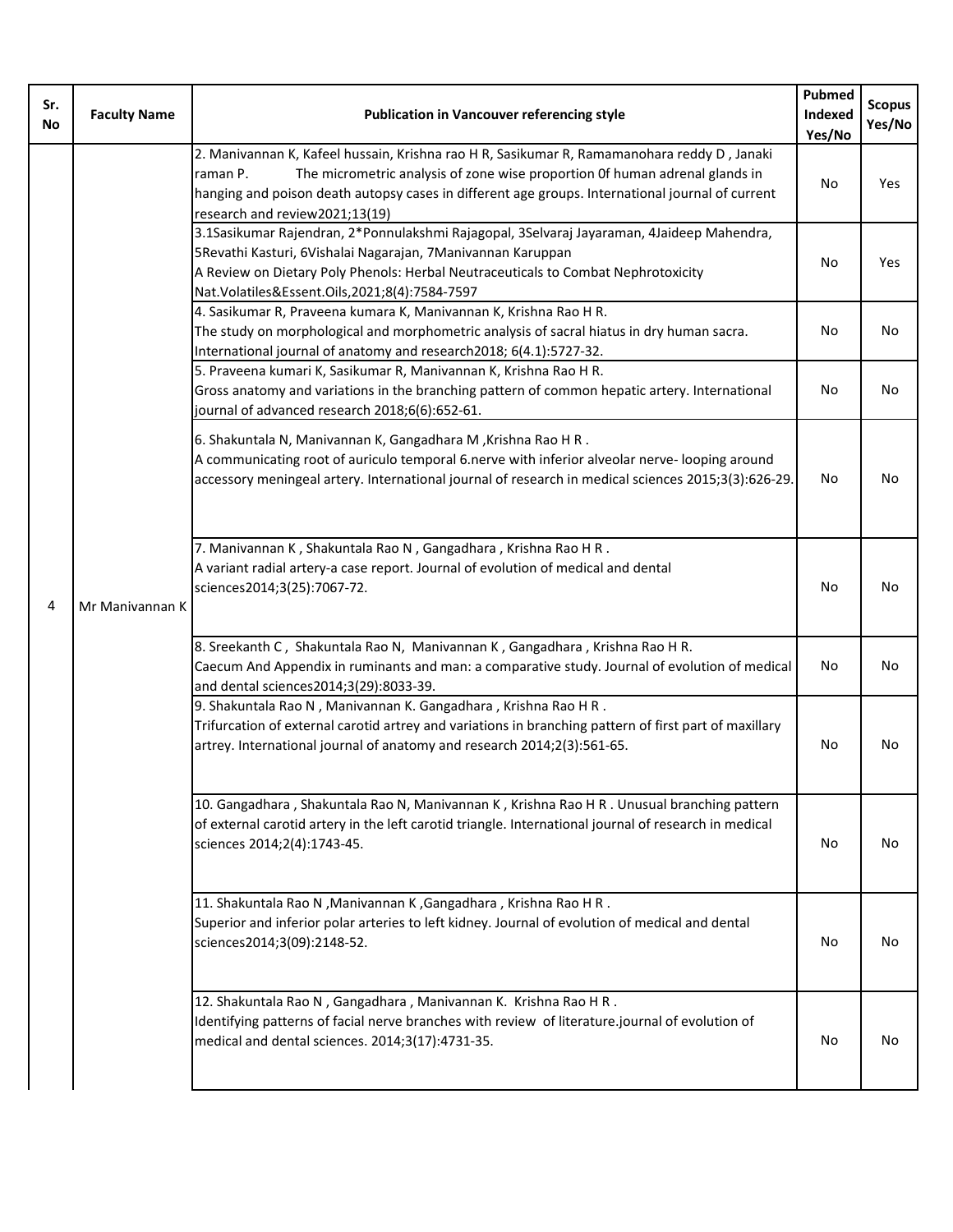| Sr.<br>No | <b>Faculty Name</b> | <b>Publication in Vancouver referencing style</b>                                                                                                                                                                                                                                                                            | Pubmed<br>Indexed<br>Yes/No | <b>Scopus</b><br>Yes/No |
|-----------|---------------------|------------------------------------------------------------------------------------------------------------------------------------------------------------------------------------------------------------------------------------------------------------------------------------------------------------------------------|-----------------------------|-------------------------|
| 4         | Mr Manivannan K     | 2. Manivannan K, Kafeel hussain, Krishna rao H R, Sasikumar R, Ramamanohara reddy D, Janaki<br>The micrometric analysis of zone wise proportion Of human adrenal glands in<br>raman P.<br>hanging and poison death autopsy cases in different age groups. International journal of current<br>research and review2021;13(19) | No                          | <b>Yes</b>              |
|           |                     | 3.1Sasikumar Rajendran, 2*Ponnulakshmi Rajagopal, 3Selvaraj Jayaraman, 4Jaideep Mahendra,<br>5 Revathi Kasturi, 6 Vishalai Nagarajan, 7 Manivannan Karuppan<br>A Review on Dietary Poly Phenols: Herbal Neutraceuticals to Combat Nephrotoxicity<br>Nat. Volatiles&Essent. Oils, 2021; 8(4): 7584-7597                       | No                          | Yes                     |
|           |                     | 4. Sasikumar R, Praveena kumara K, Manivannan K, Krishna Rao H R.<br>The study on morphological and morphometric analysis of sacral hiatus in dry human sacra.<br>International journal of anatomy and research2018; 6(4.1):5727-32.                                                                                         | No                          | No                      |
|           |                     | 5. Praveena kumari K, Sasikumar R, Manivannan K, Krishna Rao H R.<br>Gross anatomy and variations in the branching pattern of common hepatic artery. International<br>journal of advanced research 2018;6(6):652-61.                                                                                                         | No                          | No                      |
|           |                     | 6. Shakuntala N, Manivannan K, Gangadhara M, Krishna Rao H R.<br>A communicating root of auriculo temporal 6.nerve with inferior alveolar nerve-looping around<br>accessory meningeal artery. International journal of research in medical sciences 2015;3(3):626-29.                                                        | No                          | No                      |
|           |                     | 7. Manivannan K, Shakuntala Rao N, Gangadhara, Krishna Rao H R.<br>A variant radial artery-a case report. Journal of evolution of medical and dental<br>sciences2014;3(25):7067-72.                                                                                                                                          | No                          | No                      |
|           |                     | 8. Sreekanth C, Shakuntala Rao N, Manivannan K, Gangadhara, Krishna Rao H R.<br>Caecum And Appendix in ruminants and man: a comparative study. Journal of evolution of medical<br>and dental sciences2014;3(29):8033-39.                                                                                                     | No                          | No                      |
|           |                     | 9. Shakuntala Rao N, Manivannan K. Gangadhara, Krishna Rao H R.<br>Trifurcation of external carotid artrey and variations in branching pattern of first part of maxillary<br>artrey. International journal of anatomy and research 2014;2(3):561-65.                                                                         | No                          | No                      |
|           |                     | 10. Gangadhara, Shakuntala Rao N, Manivannan K, Krishna Rao H R . Unusual branching pattern<br>of external carotid artery in the left carotid triangle. International journal of research in medical<br>sciences 2014;2(4):1743-45.                                                                                          | No                          | No                      |
|           |                     | 11. Shakuntala Rao N , Manivannan K , Gangadhara , Krishna Rao H R .<br>Superior and inferior polar arteries to left kidney. Journal of evolution of medical and dental<br>sciences2014;3(09):2148-52.                                                                                                                       | No                          | No                      |
|           |                     | 12. Shakuntala Rao N, Gangadhara, Manivannan K. Krishna Rao H R.<br>Identifying patterns of facial nerve branches with review of literature.journal of evolution of<br>medical and dental sciences. 2014;3(17):4731-35.                                                                                                      | No.                         | No                      |